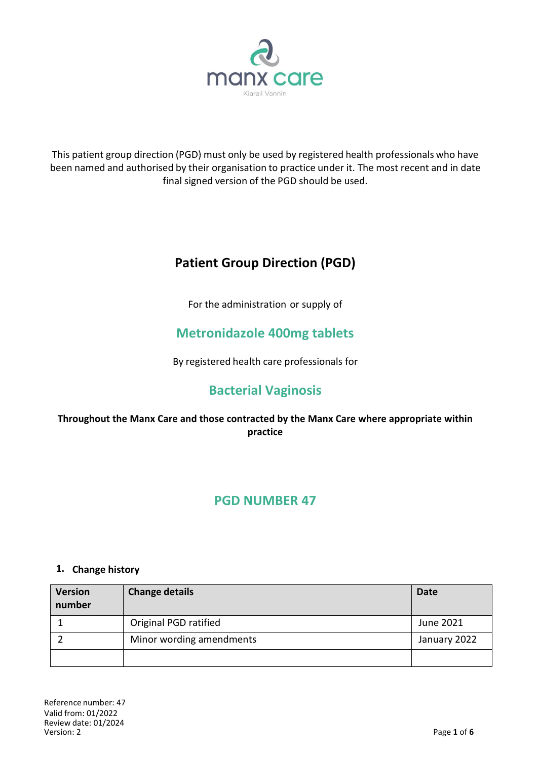

This patient group direction (PGD) must only be used by registered health professionals who have been named and authorised by their organisation to practice under it. The most recent and in date final signed version of the PGD should be used.

# **Patient Group Direction (PGD)**

For the administration or supply of

# **Metronidazole 400mg tablets**

By registered health care professionals for

# **Bacterial Vaginosis**

**Throughout the Manx Care and those contracted by the Manx Care where appropriate within practice**

# **PGD NUMBER 47**

## **1. Change history**

| <b>Version</b><br>number | <b>Change details</b>    | <b>Date</b>  |
|--------------------------|--------------------------|--------------|
|                          | Original PGD ratified    | June 2021    |
|                          | Minor wording amendments | January 2022 |
|                          |                          |              |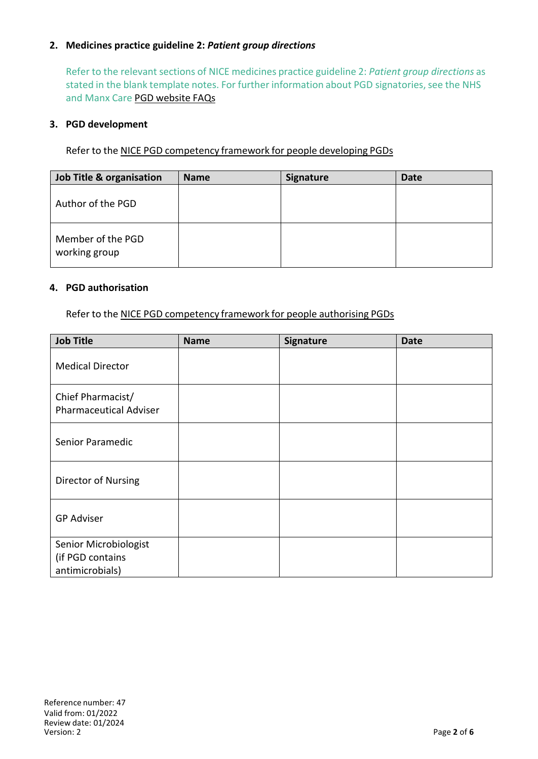## **2. Medicines practice guideline 2:** *Patient group directions*

Refer to the relevant sections of NICE medicines practice guideline 2: *Patient group directions* as stated in the blank template notes. For further information about PGD signatories, see the NHS and Manx Care PGD website FAQs

#### **3. PGD development**

Refer to the NICE PGD competency framework for people developing PGDs

| Job Title & organisation           | <b>Name</b> | Signature | Date |
|------------------------------------|-------------|-----------|------|
| Author of the PGD                  |             |           |      |
| Member of the PGD<br>working group |             |           |      |

#### **4. PGD authorisation**

Refer to the NICE PGD [competency](http://www.nice.org.uk/guidance/mpg2/resources/mpg2-patient-group-directions5) framework for people authorising PGDs

| <b>Job Title</b>                                             | <b>Name</b> | Signature | <b>Date</b> |
|--------------------------------------------------------------|-------------|-----------|-------------|
| <b>Medical Director</b>                                      |             |           |             |
| Chief Pharmacist/<br><b>Pharmaceutical Adviser</b>           |             |           |             |
| Senior Paramedic                                             |             |           |             |
| Director of Nursing                                          |             |           |             |
| <b>GP Adviser</b>                                            |             |           |             |
| Senior Microbiologist<br>(if PGD contains<br>antimicrobials) |             |           |             |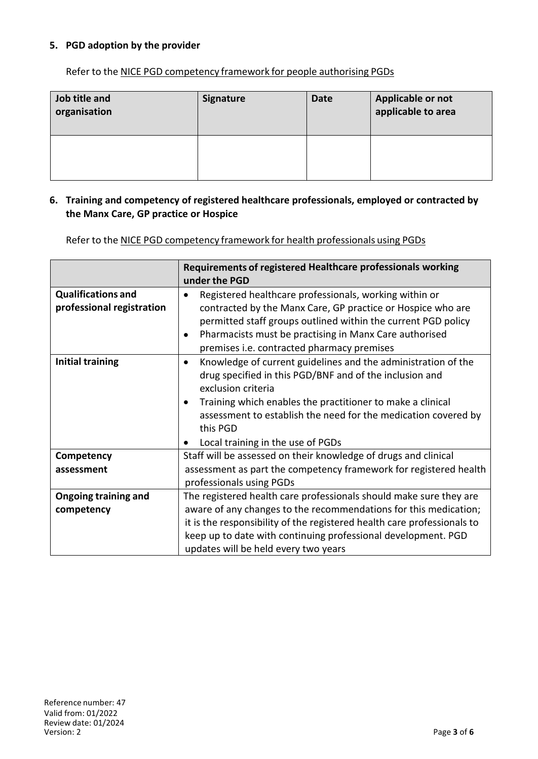## **5. PGD adoption by the provider**

Refer to the NICE PGD competency framework for people authorising PGDs

| Job title and<br>organisation | <b>Signature</b> | <b>Date</b> | Applicable or not<br>applicable to area |
|-------------------------------|------------------|-------------|-----------------------------------------|
|                               |                  |             |                                         |

#### **6. Training and competency of registered healthcare professionals, employed or contracted by the Manx Care, GP practice or Hospice**

Refer to the NICE PGD competency framework for health professionals using PGDs

|                                                        | Requirements of registered Healthcare professionals working<br>under the PGD                                                                                                                                                                                                                                                                 |
|--------------------------------------------------------|----------------------------------------------------------------------------------------------------------------------------------------------------------------------------------------------------------------------------------------------------------------------------------------------------------------------------------------------|
| <b>Qualifications and</b><br>professional registration | Registered healthcare professionals, working within or<br>contracted by the Manx Care, GP practice or Hospice who are<br>permitted staff groups outlined within the current PGD policy<br>Pharmacists must be practising in Manx Care authorised<br>premises i.e. contracted pharmacy premises                                               |
| <b>Initial training</b>                                | Knowledge of current guidelines and the administration of the<br>$\bullet$<br>drug specified in this PGD/BNF and of the inclusion and<br>exclusion criteria<br>Training which enables the practitioner to make a clinical<br>assessment to establish the need for the medication covered by<br>this PGD<br>Local training in the use of PGDs |
| Competency                                             | Staff will be assessed on their knowledge of drugs and clinical                                                                                                                                                                                                                                                                              |
| assessment                                             | assessment as part the competency framework for registered health<br>professionals using PGDs                                                                                                                                                                                                                                                |
| <b>Ongoing training and</b>                            | The registered health care professionals should make sure they are                                                                                                                                                                                                                                                                           |
| competency                                             | aware of any changes to the recommendations for this medication;                                                                                                                                                                                                                                                                             |
|                                                        | it is the responsibility of the registered health care professionals to                                                                                                                                                                                                                                                                      |
|                                                        | keep up to date with continuing professional development. PGD                                                                                                                                                                                                                                                                                |
|                                                        | updates will be held every two years                                                                                                                                                                                                                                                                                                         |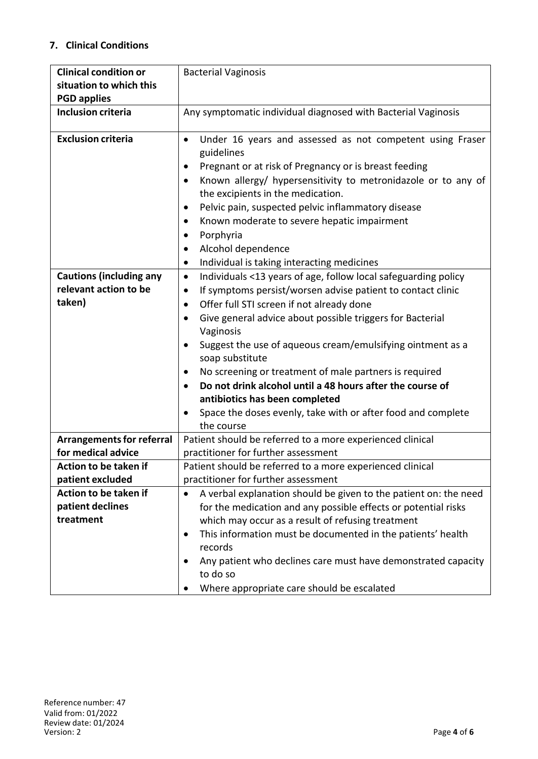# **7. Clinical Conditions**

| <b>Clinical condition or</b>     | <b>Bacterial Vaginosis</b>                                                                         |
|----------------------------------|----------------------------------------------------------------------------------------------------|
| situation to which this          |                                                                                                    |
| <b>PGD applies</b>               |                                                                                                    |
| <b>Inclusion criteria</b>        | Any symptomatic individual diagnosed with Bacterial Vaginosis                                      |
| <b>Exclusion criteria</b>        | $\bullet$                                                                                          |
|                                  | Under 16 years and assessed as not competent using Fraser<br>guidelines                            |
|                                  |                                                                                                    |
|                                  | Pregnant or at risk of Pregnancy or is breast feeding<br>$\bullet$                                 |
|                                  | Known allergy/ hypersensitivity to metronidazole or to any of<br>the excipients in the medication. |
|                                  | Pelvic pain, suspected pelvic inflammatory disease                                                 |
|                                  |                                                                                                    |
|                                  | Known moderate to severe hepatic impairment                                                        |
|                                  | Porphyria                                                                                          |
|                                  | Alcohol dependence<br>٠                                                                            |
|                                  | Individual is taking interacting medicines<br>$\bullet$                                            |
| <b>Cautions (including any</b>   | Individuals <13 years of age, follow local safeguarding policy<br>٠                                |
| relevant action to be            | If symptoms persist/worsen advise patient to contact clinic                                        |
| taken)                           | Offer full STI screen if not already done<br>$\bullet$                                             |
|                                  | Give general advice about possible triggers for Bacterial<br>$\bullet$                             |
|                                  | Vaginosis                                                                                          |
|                                  | Suggest the use of aqueous cream/emulsifying ointment as a<br>٠                                    |
|                                  | soap substitute                                                                                    |
|                                  | No screening or treatment of male partners is required<br>٠                                        |
|                                  | Do not drink alcohol until a 48 hours after the course of                                          |
|                                  | antibiotics has been completed                                                                     |
|                                  | Space the doses evenly, take with or after food and complete                                       |
|                                  | the course                                                                                         |
| <b>Arrangements for referral</b> | Patient should be referred to a more experienced clinical                                          |
| for medical advice               | practitioner for further assessment                                                                |
| Action to be taken if            | Patient should be referred to a more experienced clinical                                          |
| patient excluded                 | practitioner for further assessment                                                                |
| Action to be taken if            | A verbal explanation should be given to the patient on: the need                                   |
| patient declines                 | for the medication and any possible effects or potential risks                                     |
| treatment                        | which may occur as a result of refusing treatment                                                  |
|                                  | This information must be documented in the patients' health<br>$\bullet$                           |
|                                  | records                                                                                            |
|                                  | Any patient who declines care must have demonstrated capacity                                      |
|                                  | to do so                                                                                           |
|                                  | Where appropriate care should be escalated                                                         |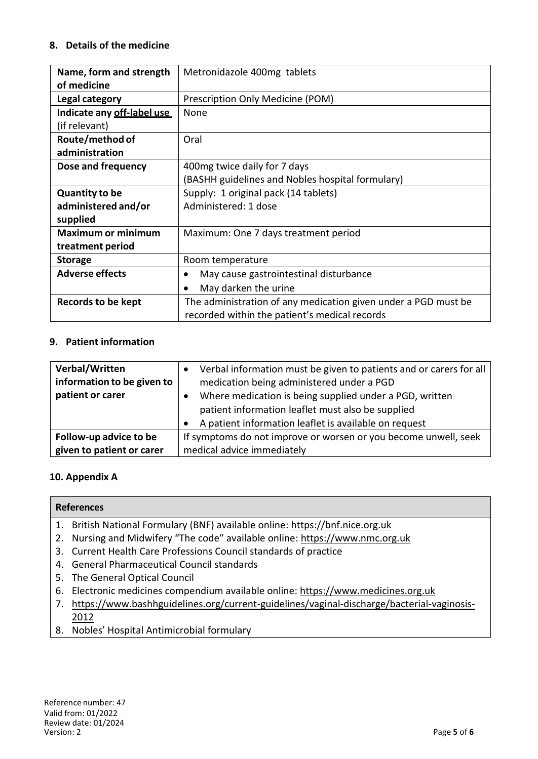## **8. Details of the medicine**

| Name, form and strength    | Metronidazole 400mg tablets                                    |
|----------------------------|----------------------------------------------------------------|
| of medicine                |                                                                |
| Legal category             | Prescription Only Medicine (POM)                               |
| Indicate any off-label use | <b>None</b>                                                    |
| (if relevant)              |                                                                |
| Route/method of            | Oral                                                           |
| administration             |                                                                |
| Dose and frequency         | 400mg twice daily for 7 days                                   |
|                            | (BASHH guidelines and Nobles hospital formulary)               |
| <b>Quantity to be</b>      | Supply: 1 original pack (14 tablets)                           |
| administered and/or        | Administered: 1 dose                                           |
| supplied                   |                                                                |
| <b>Maximum or minimum</b>  | Maximum: One 7 days treatment period                           |
| treatment period           |                                                                |
| <b>Storage</b>             | Room temperature                                               |
| <b>Adverse effects</b>     | May cause gastrointestinal disturbance                         |
|                            | May darken the urine                                           |
| <b>Records to be kept</b>  | The administration of any medication given under a PGD must be |
|                            | recorded within the patient's medical records                  |

#### **9. Patient information**

| Verbal/Written<br>information to be given to<br>patient or carer | Verbal information must be given to patients and or carers for all<br>medication being administered under a PGD<br>Where medication is being supplied under a PGD, written<br>patient information leaflet must also be supplied<br>A patient information leaflet is available on request |
|------------------------------------------------------------------|------------------------------------------------------------------------------------------------------------------------------------------------------------------------------------------------------------------------------------------------------------------------------------------|
| Follow-up advice to be                                           | If symptoms do not improve or worsen or you become unwell, seek                                                                                                                                                                                                                          |
| given to patient or carer                                        | medical advice immediately                                                                                                                                                                                                                                                               |

## **10. Appendix A**

| <b>References</b>                                                             |
|-------------------------------------------------------------------------------|
| 1. British National Formulary (BNF) available online: https://bnf.nice.org.uk |

- 2. Nursing and Midwifery "The code" available online: https://www.nmc.org.uk
- 3. Current Health Care Professions Council standards of practice
- 4. General Pharmaceutical Council standards
- 5. The General Optical Council
- 6. Electronic medicines compendium available online: https://www.medicines.org.uk
- 7. https://www.bashhguidelines.org/current-guidelines/vaginal-discharge/bacterial-vaginosis-2012
- 8. Nobles' Hospital Antimicrobial formulary